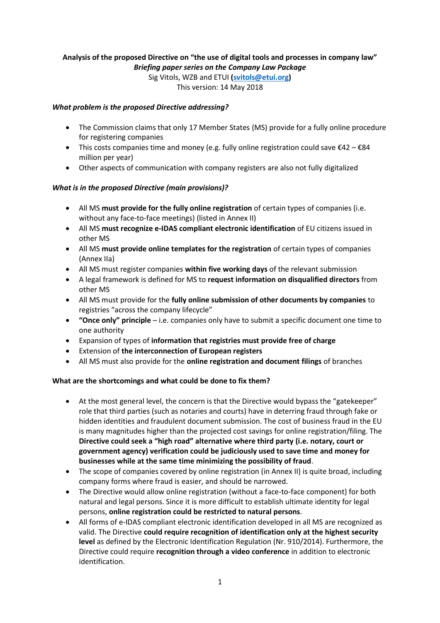## **Analysis of the proposed Directive on "the use of digital tools and processes in company law"**  *Briefing paper series on the Company Law Package*

Sig Vitols, WZB and ETUI **[\(svitols@etui.org\)](mailto:svitols@etui.org)** This version: 14 May 2018

## *What problem is the proposed Directive addressing?*

- The Commission claims that only 17 Member States (MS) provide for a fully online procedure for registering companies
- This costs companies time and money (e.g. fully online registration could save  $\epsilon 42 \epsilon 84$ million per year)
- Other aspects of communication with company registers are also not fully digitalized

## *What is in the proposed Directive (main provisions)?*

- All MS **must provide for the fully online registration** of certain types of companies (i.e. without any face-to-face meetings) (listed in Annex II)
- All MS **must recognize e-IDAS compliant electronic identification** of EU citizens issued in other MS
- All MS **must provide online templates for the registration** of certain types of companies (Annex IIa)
- All MS must register companies **within five working days** of the relevant submission
- A legal framework is defined for MS to **request information on disqualified directors** from other MS
- All MS must provide for the **fully online submission of other documents by companies** to registries "across the company lifecycle"
- **"Once only" principle** i.e. companies only have to submit a specific document one time to one authority
- Expansion of types of **information that registries must provide free of charge**
- Extension of **the interconnection of European registers**
- All MS must also provide for the **online registration and document filings** of branches

## **What are the shortcomings and what could be done to fix them?**

- At the most general level, the concern is that the Directive would bypass the "gatekeeper" role that third parties (such as notaries and courts) have in deterring fraud through fake or hidden identities and fraudulent document submission. The cost of business fraud in the EU is many magnitudes higher than the projected cost savings for online registration/filing. The **Directive could seek a "high road" alternative where third party (i.e. notary, court or government agency) verification could be judiciously used to save time and money for businesses while at the same time minimizing the possibility of fraud**.
- The scope of companies covered by online registration (in Annex II) is quite broad, including company forms where fraud is easier, and should be narrowed.
- The Directive would allow online registration (without a face-to-face component) for both natural and legal persons. Since it is more difficult to establish ultimate identity for legal persons, **online registration could be restricted to natural persons**.
- All forms of e-IDAS compliant electronic identification developed in all MS are recognized as valid. The Directive **could require recognition of identification only at the highest security level** as defined by the Electronic Identification Regulation (Nr. 910/2014). Furthermore, the Directive could require **recognition through a video conference** in addition to electronic identification.